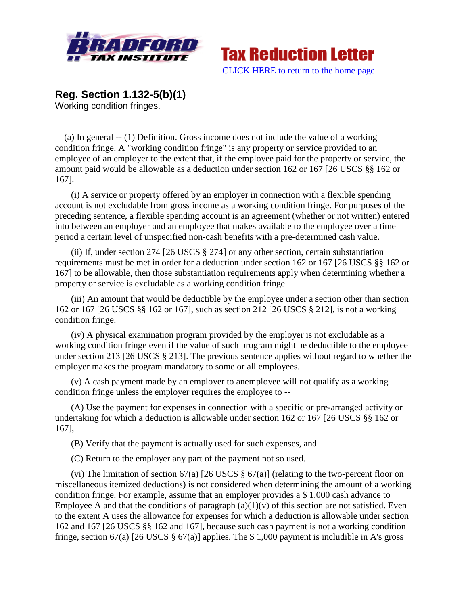



**Reg. Section 1.132-5(b)(1)** Working condition fringes.

 (a) In general -- (1) Definition. Gross income does not include the value of a working condition fringe. A "working condition fringe" is any property or service provided to an employee of an employer to the extent that, if the employee paid for the property or service, the amount paid would be allowable as a deduction under section 162 or 167 [26 USCS §§ 162 or 167].

(i) A service or property offered by an employer in connection with a flexible spending account is not excludable from gross income as a working condition fringe. For purposes of the preceding sentence, a flexible spending account is an agreement (whether or not written) entered into between an employer and an employee that makes available to the employee over a time period a certain level of unspecified non-cash benefits with a pre-determined cash value.

(ii) If, under section 274 [26 USCS § 274] or any other section, certain substantiation requirements must be met in order for a deduction under section 162 or 167 [26 USCS §§ 162 or 167] to be allowable, then those substantiation requirements apply when determining whether a property or service is excludable as a working condition fringe.

(iii) An amount that would be deductible by the employee under a section other than section 162 or 167 [26 USCS §§ 162 or 167], such as section 212 [26 USCS § 212], is not a working condition fringe.

(iv) A physical examination program provided by the employer is not excludable as a working condition fringe even if the value of such program might be deductible to the employee under section 213 [26 USCS § 213]. The previous sentence applies without regard to whether the employer makes the program mandatory to some or all employees.

(v) A cash payment made by an employer to anemployee will not qualify as a working condition fringe unless the employer requires the employee to --

(A) Use the payment for expenses in connection with a specific or pre-arranged activity or undertaking for which a deduction is allowable under section 162 or 167 [26 USCS §§ 162 or 167],

(B) Verify that the payment is actually used for such expenses, and

(C) Return to the employer any part of the payment not so used.

(vi) The limitation of section 67(a) [26 USCS  $\S$  67(a)] (relating to the two-percent floor on miscellaneous itemized deductions) is not considered when determining the amount of a working condition fringe. For example, assume that an employer provides a \$ 1,000 cash advance to Employee A and that the conditions of paragraph  $(a)(1)(v)$  of this section are not satisfied. Even to the extent A uses the allowance for expenses for which a deduction is allowable under section 162 and 167 [26 USCS §§ 162 and 167], because such cash payment is not a working condition fringe, section 67(a) [26 USCS § 67(a)] applies. The \$ 1,000 payment is includible in A's gross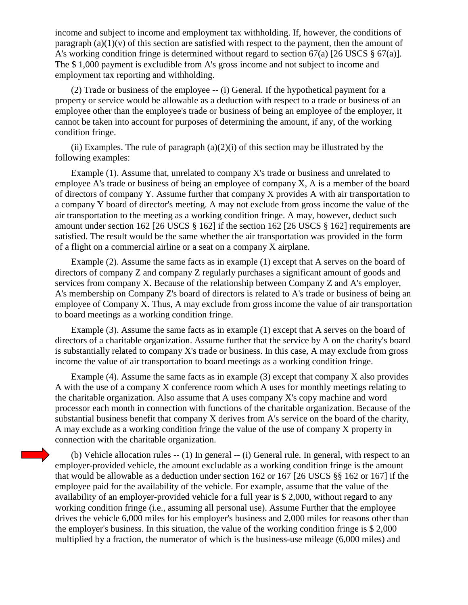income and subject to income and employment tax withholding. If, however, the conditions of paragraph  $(a)(1)(v)$  of this section are satisfied with respect to the payment, then the amount of A's working condition fringe is determined without regard to section 67(a) [26 USCS  $\S$  67(a)]. The \$ 1,000 payment is excludible from A's gross income and not subject to income and employment tax reporting and withholding.

(2) Trade or business of the employee -- (i) General. If the hypothetical payment for a property or service would be allowable as a deduction with respect to a trade or business of an employee other than the employee's trade or business of being an employee of the employer, it cannot be taken into account for purposes of determining the amount, if any, of the working condition fringe.

(ii) Examples. The rule of paragraph  $(a)(2)(i)$  of this section may be illustrated by the following examples:

Example (1). Assume that, unrelated to company X's trade or business and unrelated to employee A's trade or business of being an employee of company X, A is a member of the board of directors of company Y. Assume further that company X provides A with air transportation to a company Y board of director's meeting. A may not exclude from gross income the value of the air transportation to the meeting as a working condition fringe. A may, however, deduct such amount under section 162 [26 USCS § 162] if the section 162 [26 USCS § 162] requirements are satisfied. The result would be the same whether the air transportation was provided in the form of a flight on a commercial airline or a seat on a company X airplane.

Example (2). Assume the same facts as in example (1) except that A serves on the board of directors of company Z and company Z regularly purchases a significant amount of goods and services from company X. Because of the relationship between Company Z and A's employer, A's membership on Company Z's board of directors is related to A's trade or business of being an employee of Company X. Thus, A may exclude from gross income the value of air transportation to board meetings as a working condition fringe.

Example (3). Assume the same facts as in example (1) except that A serves on the board of directors of a charitable organization. Assume further that the service by A on the charity's board is substantially related to company X's trade or business. In this case, A may exclude from gross income the value of air transportation to board meetings as a working condition fringe.

Example (4). Assume the same facts as in example (3) except that company X also provides A with the use of a company X conference room which A uses for monthly meetings relating to the charitable organization. Also assume that A uses company X's copy machine and word processor each month in connection with functions of the charitable organization. Because of the substantial business benefit that company X derives from A's service on the board of the charity, A may exclude as a working condition fringe the value of the use of company X property in connection with the charitable organization.

(b) Vehicle allocation rules -- (1) In general -- (i) General rule. In general, with respect to an employer-provided vehicle, the amount excludable as a working condition fringe is the amount that would be allowable as a deduction under section 162 or 167 [26 USCS §§ 162 or 167] if the employee paid for the availability of the vehicle. For example, assume that the value of the availability of an employer-provided vehicle for a full year is \$ 2,000, without regard to any working condition fringe (i.e., assuming all personal use). Assume Further that the employee drives the vehicle 6,000 miles for his employer's business and 2,000 miles for reasons other than the employer's business. In this situation, the value of the working condition fringe is \$ 2,000 multiplied by a fraction, the numerator of which is the business-use mileage (6,000 miles) and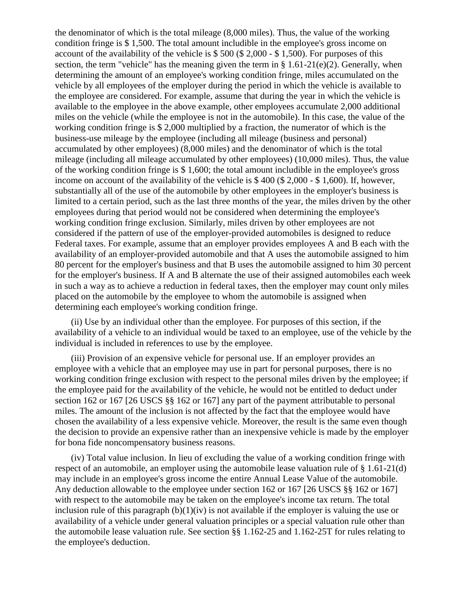the denominator of which is the total mileage (8,000 miles). Thus, the value of the working condition fringe is \$ 1,500. The total amount includible in the employee's gross income on account of the availability of the vehicle is \$ 500 (\$ 2,000 - \$ 1,500). For purposes of this section, the term "vehicle" has the meaning given the term in  $\S 1.61-21(e)(2)$ . Generally, when determining the amount of an employee's working condition fringe, miles accumulated on the vehicle by all employees of the employer during the period in which the vehicle is available to the employee are considered. For example, assume that during the year in which the vehicle is available to the employee in the above example, other employees accumulate 2,000 additional miles on the vehicle (while the employee is not in the automobile). In this case, the value of the working condition fringe is \$ 2,000 multiplied by a fraction, the numerator of which is the business-use mileage by the employee (including all mileage (business and personal) accumulated by other employees) (8,000 miles) and the denominator of which is the total mileage (including all mileage accumulated by other employees) (10,000 miles). Thus, the value of the working condition fringe is \$ 1,600; the total amount includible in the employee's gross income on account of the availability of the vehicle is \$ 400 (\$ 2,000 - \$ 1,600). If, however, substantially all of the use of the automobile by other employees in the employer's business is limited to a certain period, such as the last three months of the year, the miles driven by the other employees during that period would not be considered when determining the employee's working condition fringe exclusion. Similarly, miles driven by other employees are not considered if the pattern of use of the employer-provided automobiles is designed to reduce Federal taxes. For example, assume that an employer provides employees A and B each with the availability of an employer-provided automobile and that A uses the automobile assigned to him 80 percent for the employer's business and that B uses the automobile assigned to him 30 percent for the employer's business. If A and B alternate the use of their assigned automobiles each week in such a way as to achieve a reduction in federal taxes, then the employer may count only miles placed on the automobile by the employee to whom the automobile is assigned when determining each employee's working condition fringe.

(ii) Use by an individual other than the employee. For purposes of this section, if the availability of a vehicle to an individual would be taxed to an employee, use of the vehicle by the individual is included in references to use by the employee.

(iii) Provision of an expensive vehicle for personal use. If an employer provides an employee with a vehicle that an employee may use in part for personal purposes, there is no working condition fringe exclusion with respect to the personal miles driven by the employee; if the employee paid for the availability of the vehicle, he would not be entitled to deduct under section 162 or 167 [26 USCS §§ 162 or 167] any part of the payment attributable to personal miles. The amount of the inclusion is not affected by the fact that the employee would have chosen the availability of a less expensive vehicle. Moreover, the result is the same even though the decision to provide an expensive rather than an inexpensive vehicle is made by the employer for bona fide noncompensatory business reasons.

(iv) Total value inclusion. In lieu of excluding the value of a working condition fringe with respect of an automobile, an employer using the automobile lease valuation rule of § 1.61-21(d) may include in an employee's gross income the entire Annual Lease Value of the automobile. Any deduction allowable to the employee under section 162 or 167 [26 USCS §§ 162 or 167] with respect to the automobile may be taken on the employee's income tax return. The total inclusion rule of this paragraph  $(b)(1)(iv)$  is not available if the employer is valuing the use or availability of a vehicle under general valuation principles or a special valuation rule other than the automobile lease valuation rule. See section §§ 1.162-25 and 1.162-25T for rules relating to the employee's deduction.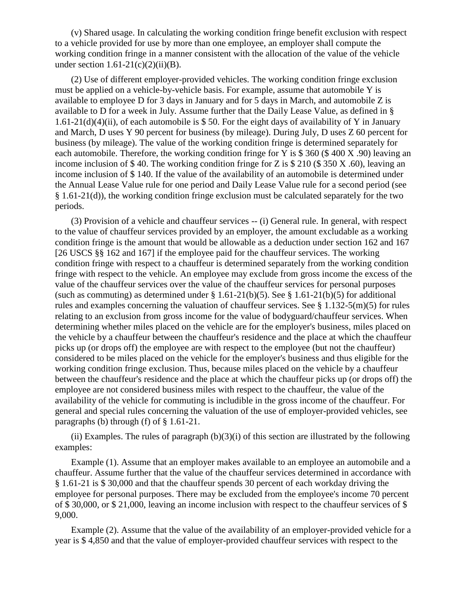(v) Shared usage. In calculating the working condition fringe benefit exclusion with respect to a vehicle provided for use by more than one employee, an employer shall compute the working condition fringe in a manner consistent with the allocation of the value of the vehicle under section  $1.61-21(c)(2)(ii)(B)$ .

(2) Use of different employer-provided vehicles. The working condition fringe exclusion must be applied on a vehicle-by-vehicle basis. For example, assume that automobile Y is available to employee D for 3 days in January and for 5 days in March, and automobile Z is available to D for a week in July. Assume further that the Daily Lease Value, as defined in § 1.61-21(d)(4)(ii), of each automobile is \$50. For the eight days of availability of Y in January and March, D uses Y 90 percent for business (by mileage). During July, D uses Z 60 percent for business (by mileage). The value of the working condition fringe is determined separately for each automobile. Therefore, the working condition fringe for Y is \$ 360 (\$ 400 X .90) leaving an income inclusion of \$ 40. The working condition fringe for Z is \$ 210 (\$ 350 X .60), leaving an income inclusion of \$ 140. If the value of the availability of an automobile is determined under the Annual Lease Value rule for one period and Daily Lease Value rule for a second period (see § 1.61-21(d)), the working condition fringe exclusion must be calculated separately for the two periods.

(3) Provision of a vehicle and chauffeur services -- (i) General rule. In general, with respect to the value of chauffeur services provided by an employer, the amount excludable as a working condition fringe is the amount that would be allowable as a deduction under section 162 and 167 [26 USCS §§ 162 and 167] if the employee paid for the chauffeur services. The working condition fringe with respect to a chauffeur is determined separately from the working condition fringe with respect to the vehicle. An employee may exclude from gross income the excess of the value of the chauffeur services over the value of the chauffeur services for personal purposes (such as commuting) as determined under  $\S 1.61-21(b)(5)$ . See  $\S 1.61-21(b)(5)$  for additional rules and examples concerning the valuation of chauffeur services. See § 1.132-5(m)(5) for rules relating to an exclusion from gross income for the value of bodyguard/chauffeur services. When determining whether miles placed on the vehicle are for the employer's business, miles placed on the vehicle by a chauffeur between the chauffeur's residence and the place at which the chauffeur picks up (or drops off) the employee are with respect to the employee (but not the chauffeur) considered to be miles placed on the vehicle for the employer's business and thus eligible for the working condition fringe exclusion. Thus, because miles placed on the vehicle by a chauffeur between the chauffeur's residence and the place at which the chauffeur picks up (or drops off) the employee are not considered business miles with respect to the chauffeur, the value of the availability of the vehicle for commuting is includible in the gross income of the chauffeur. For general and special rules concerning the valuation of the use of employer-provided vehicles, see paragraphs (b) through (f) of § 1.61-21.

(ii) Examples. The rules of paragraph  $(b)(3)(i)$  of this section are illustrated by the following examples:

Example (1). Assume that an employer makes available to an employee an automobile and a chauffeur. Assume further that the value of the chauffeur services determined in accordance with § 1.61-21 is \$ 30,000 and that the chauffeur spends 30 percent of each workday driving the employee for personal purposes. There may be excluded from the employee's income 70 percent of \$ 30,000, or \$ 21,000, leaving an income inclusion with respect to the chauffeur services of \$ 9,000.

Example (2). Assume that the value of the availability of an employer-provided vehicle for a year is \$ 4,850 and that the value of employer-provided chauffeur services with respect to the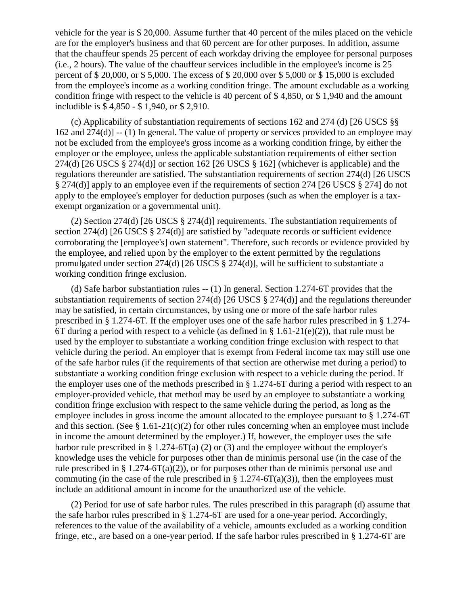vehicle for the year is \$ 20,000. Assume further that 40 percent of the miles placed on the vehicle are for the employer's business and that 60 percent are for other purposes. In addition, assume that the chauffeur spends 25 percent of each workday driving the employee for personal purposes (i.e., 2 hours). The value of the chauffeur services includible in the employee's income is 25 percent of \$ 20,000, or \$ 5,000. The excess of \$ 20,000 over \$ 5,000 or \$ 15,000 is excluded from the employee's income as a working condition fringe. The amount excludable as a working condition fringe with respect to the vehicle is 40 percent of \$ 4,850, or \$ 1,940 and the amount includible is \$ 4,850 - \$ 1,940, or \$ 2,910.

(c) Applicability of substantiation requirements of sections 162 and 274 (d) [26 USCS §§  $162$  and  $274(d)$ ] -- (1) In general. The value of property or services provided to an employee may not be excluded from the employee's gross income as a working condition fringe, by either the employer or the employee, unless the applicable substantiation requirements of either section 274(d) [26 USCS  $\S 274$ (d)] or section 162 [26 USCS  $\S 162$ ] (whichever is applicable) and the regulations thereunder are satisfied. The substantiation requirements of section 274(d) [26 USCS § 274(d)] apply to an employee even if the requirements of section 274 [26 USCS § 274] do not apply to the employee's employer for deduction purposes (such as when the employer is a taxexempt organization or a governmental unit).

(2) Section 274(d) [26 USCS § 274(d)] requirements. The substantiation requirements of section 274(d) [26 USCS § 274(d)] are satisfied by "adequate records or sufficient evidence corroborating the [employee's] own statement". Therefore, such records or evidence provided by the employee, and relied upon by the employer to the extent permitted by the regulations promulgated under section 274(d) [26 USCS § 274(d)], will be sufficient to substantiate a working condition fringe exclusion.

(d) Safe harbor substantiation rules -- (1) In general. Section 1.274-6T provides that the substantiation requirements of section 274(d) [26 USCS § 274(d)] and the regulations thereunder may be satisfied, in certain circumstances, by using one or more of the safe harbor rules prescribed in § 1.274-6T. If the employer uses one of the safe harbor rules prescribed in § 1.274- 6T during a period with respect to a vehicle (as defined in  $\S 1.61-21(e)(2)$ ), that rule must be used by the employer to substantiate a working condition fringe exclusion with respect to that vehicle during the period. An employer that is exempt from Federal income tax may still use one of the safe harbor rules (if the requirements of that section are otherwise met during a period) to substantiate a working condition fringe exclusion with respect to a vehicle during the period. If the employer uses one of the methods prescribed in § 1.274-6T during a period with respect to an employer-provided vehicle, that method may be used by an employee to substantiate a working condition fringe exclusion with respect to the same vehicle during the period, as long as the employee includes in gross income the amount allocated to the employee pursuant to § 1.274-6T and this section. (See  $\S 1.61-21(c)(2)$  for other rules concerning when an employee must include in income the amount determined by the employer.) If, however, the employer uses the safe harbor rule prescribed in § 1.274-6T(a) (2) or (3) and the employee without the employer's knowledge uses the vehicle for purposes other than de minimis personal use (in the case of the rule prescribed in § 1.274-6T(a)(2)), or for purposes other than de minimis personal use and commuting (in the case of the rule prescribed in § 1.274-6T(a)(3)), then the employees must include an additional amount in income for the unauthorized use of the vehicle.

(2) Period for use of safe harbor rules. The rules prescribed in this paragraph (d) assume that the safe harbor rules prescribed in § 1.274-6T are used for a one-year period. Accordingly, references to the value of the availability of a vehicle, amounts excluded as a working condition fringe, etc., are based on a one-year period. If the safe harbor rules prescribed in § 1.274-6T are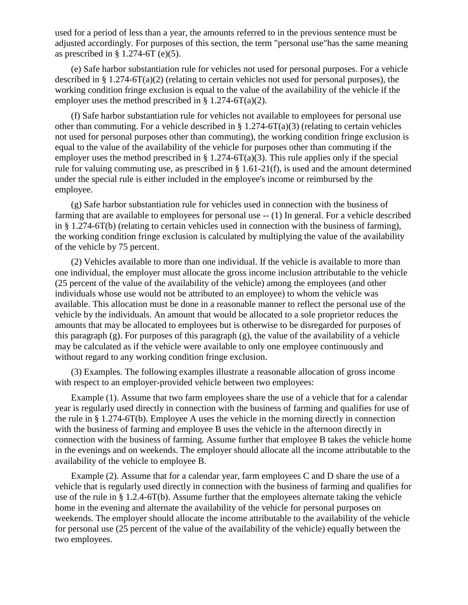used for a period of less than a year, the amounts referred to in the previous sentence must be adjusted accordingly. For purposes of this section, the term "personal use"has the same meaning as prescribed in  $\S$  1.274-6T (e)(5).

(e) Safe harbor substantiation rule for vehicles not used for personal purposes. For a vehicle described in § 1.274-6T(a)(2) (relating to certain vehicles not used for personal purposes), the working condition fringe exclusion is equal to the value of the availability of the vehicle if the employer uses the method prescribed in § 1.274-6T(a)(2).

(f) Safe harbor substantiation rule for vehicles not available to employees for personal use other than commuting. For a vehicle described in  $\S 1.274-6T(a)(3)$  (relating to certain vehicles not used for personal purposes other than commuting), the working condition fringe exclusion is equal to the value of the availability of the vehicle for purposes other than commuting if the employer uses the method prescribed in § 1.274-6T(a)(3). This rule applies only if the special rule for valuing commuting use, as prescribed in § 1.61-21(f), is used and the amount determined under the special rule is either included in the employee's income or reimbursed by the employee.

(g) Safe harbor substantiation rule for vehicles used in connection with the business of farming that are available to employees for personal use -- (1) In general. For a vehicle described in § 1.274-6T(b) (relating to certain vehicles used in connection with the business of farming), the working condition fringe exclusion is calculated by multiplying the value of the availability of the vehicle by 75 percent.

(2) Vehicles available to more than one individual. If the vehicle is available to more than one individual, the employer must allocate the gross income inclusion attributable to the vehicle (25 percent of the value of the availability of the vehicle) among the employees (and other individuals whose use would not be attributed to an employee) to whom the vehicle was available. This allocation must be done in a reasonable manner to reflect the personal use of the vehicle by the individuals. An amount that would be allocated to a sole proprietor reduces the amounts that may be allocated to employees but is otherwise to be disregarded for purposes of this paragraph (g). For purposes of this paragraph (g), the value of the availability of a vehicle may be calculated as if the vehicle were available to only one employee continuously and without regard to any working condition fringe exclusion.

(3) Examples. The following examples illustrate a reasonable allocation of gross income with respect to an employer-provided vehicle between two employees:

Example (1). Assume that two farm employees share the use of a vehicle that for a calendar year is regularly used directly in connection with the business of farming and qualifies for use of the rule in § 1.274-6T(b). Employee A uses the vehicle in the morning directly in connection with the business of farming and employee B uses the vehicle in the afternoon directly in connection with the business of farming. Assume further that employee B takes the vehicle home in the evenings and on weekends. The employer should allocate all the income attributable to the availability of the vehicle to employee B.

Example (2). Assume that for a calendar year, farm employees C and D share the use of a vehicle that is regularly used directly in connection with the business of farming and qualifies for use of the rule in § 1.2.4-6T(b). Assume further that the employees alternate taking the vehicle home in the evening and alternate the availability of the vehicle for personal purposes on weekends. The employer should allocate the income attributable to the availability of the vehicle for personal use (25 percent of the value of the availability of the vehicle) equally between the two employees.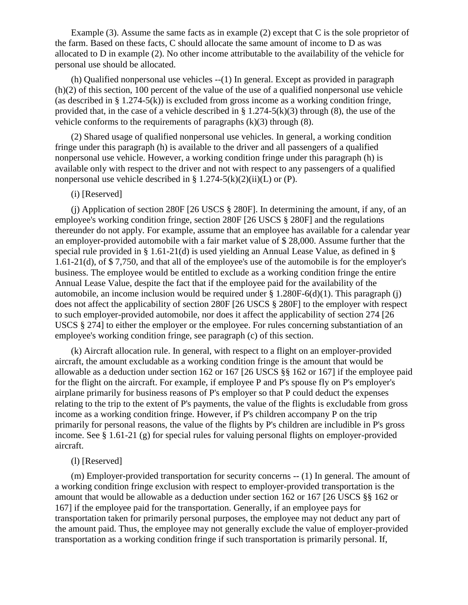Example (3). Assume the same facts as in example (2) except that C is the sole proprietor of the farm. Based on these facts, C should allocate the same amount of income to D as was allocated to D in example (2). No other income attributable to the availability of the vehicle for personal use should be allocated.

(h) Qualified nonpersonal use vehicles --(1) In general. Except as provided in paragraph (h)(2) of this section, 100 percent of the value of the use of a qualified nonpersonal use vehicle (as described in  $\S 1.274-5(k)$ ) is excluded from gross income as a working condition fringe, provided that, in the case of a vehicle described in § 1.274-5(k)(3) through (8), the use of the vehicle conforms to the requirements of paragraphs  $(k)(3)$  through  $(8)$ .

(2) Shared usage of qualified nonpersonal use vehicles. In general, a working condition fringe under this paragraph (h) is available to the driver and all passengers of a qualified nonpersonal use vehicle. However, a working condition fringe under this paragraph (h) is available only with respect to the driver and not with respect to any passengers of a qualified nonpersonal use vehicle described in §  $1.274-5(k)(2)(ii)(L)$  or (P).

## (i) [Reserved]

(j) Application of section 280F [26 USCS § 280F]. In determining the amount, if any, of an employee's working condition fringe, section 280F [26 USCS § 280F] and the regulations thereunder do not apply. For example, assume that an employee has available for a calendar year an employer-provided automobile with a fair market value of \$ 28,000. Assume further that the special rule provided in § 1.61-21(d) is used yielding an Annual Lease Value, as defined in § 1.61-21(d), of \$ 7,750, and that all of the employee's use of the automobile is for the employer's business. The employee would be entitled to exclude as a working condition fringe the entire Annual Lease Value, despite the fact that if the employee paid for the availability of the automobile, an income inclusion would be required under  $\S 1.280F-6(d)(1)$ . This paragraph (j) does not affect the applicability of section 280F [26 USCS § 280F] to the employer with respect to such employer-provided automobile, nor does it affect the applicability of section 274 [26 USCS § 274] to either the employer or the employee. For rules concerning substantiation of an employee's working condition fringe, see paragraph (c) of this section.

(k) Aircraft allocation rule. In general, with respect to a flight on an employer-provided aircraft, the amount excludable as a working condition fringe is the amount that would be allowable as a deduction under section 162 or 167 [26 USCS §§ 162 or 167] if the employee paid for the flight on the aircraft. For example, if employee P and P's spouse fly on P's employer's airplane primarily for business reasons of P's employer so that P could deduct the expenses relating to the trip to the extent of P's payments, the value of the flights is excludable from gross income as a working condition fringe. However, if P's children accompany P on the trip primarily for personal reasons, the value of the flights by P's children are includible in P's gross income. See § 1.61-21 (g) for special rules for valuing personal flights on employer-provided aircraft.

## (l) [Reserved]

(m) Employer-provided transportation for security concerns -- (1) In general. The amount of a working condition fringe exclusion with respect to employer-provided transportation is the amount that would be allowable as a deduction under section 162 or 167 [26 USCS §§ 162 or 167] if the employee paid for the transportation. Generally, if an employee pays for transportation taken for primarily personal purposes, the employee may not deduct any part of the amount paid. Thus, the employee may not generally exclude the value of employer-provided transportation as a working condition fringe if such transportation is primarily personal. If,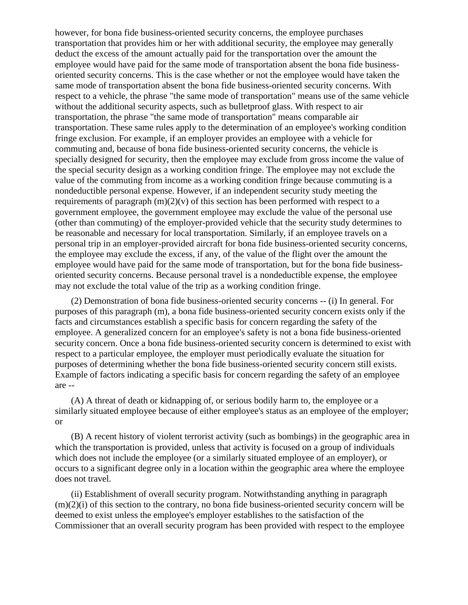however, for bona fide business-oriented security concerns, the employee purchases transportation that provides him or her with additional security, the employee may generally deduct the excess of the amount actually paid for the transportation over the amount the employee would have paid for the same mode of transportation absent the bona fide businessoriented security concerns. This is the case whether or not the employee would have taken the same mode of transportation absent the bona fide business-oriented security concerns. With respect to a vehicle, the phrase "the same mode of transportation" means use of the same vehicle without the additional security aspects, such as bulletproof glass. With respect to air transportation, the phrase "the same mode of transportation" means comparable air transportation. These same rules apply to the determination of an employee's working condition fringe exclusion. For example, if an employer provides an employee with a vehicle for commuting and, because of bona fide business-oriented security concerns, the vehicle is specially designed for security, then the employee may exclude from gross income the value of the special security design as a working condition fringe. The employee may not exclude the value of the commuting from income as a working condition fringe because commuting is a nondeductible personal expense. However, if an independent security study meeting the requirements of paragraph  $(m)(2)(v)$  of this section has been performed with respect to a government employee, the government employee may exclude the value of the personal use (other than commuting) of the employer-provided vehicle that the security study determines to be reasonable and necessary for local transportation. Similarly, if an employee travels on a personal trip in an employer-provided aircraft for bona fide business-oriented security concerns, the employee may exclude the excess, if any, of the value of the flight over the amount the employee would have paid for the same mode of transportation, but for the bona fide businessoriented security concerns. Because personal travel is a nondeductible expense, the employee may not exclude the total value of the trip as a working condition fringe.

(2) Demonstration of bona fide business-oriented security concerns -- (i) In general. For purposes of this paragraph (m), a bona fide business-oriented security concern exists only if the facts and circumstances establish a specific basis for concern regarding the safety of the employee. A generalized concern for an employee's safety is not a bona fide business-oriented security concern. Once a bona fide business-oriented security concern is determined to exist with respect to a particular employee, the employer must periodically evaluate the situation for purposes of determining whether the bona fide business-oriented security concern still exists. Example of factors indicating a specific basis for concern regarding the safety of an employee are --

(A) A threat of death or kidnapping of, or serious bodily harm to, the employee or a similarly situated employee because of either employee's status as an employee of the employer; or

(B) A recent history of violent terrorist activity (such as bombings) in the geographic area in which the transportation is provided, unless that activity is focused on a group of individuals which does not include the employee (or a similarly situated employee of an employer), or occurs to a significant degree only in a location within the geographic area where the employee does not travel.

(ii) Establishment of overall security program. Notwithstanding anything in paragraph  $(m)(2)(i)$  of this section to the contrary, no bona fide business-oriented security concern will be deemed to exist unless the employee's employer establishes to the satisfaction of the Commissioner that an overall security program has been provided with respect to the employee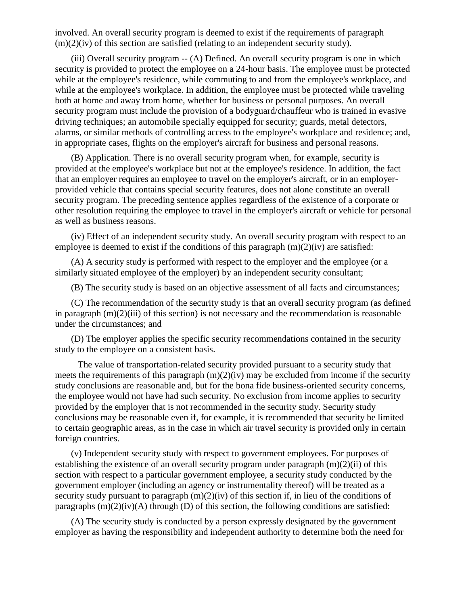involved. An overall security program is deemed to exist if the requirements of paragraph  $(m)(2)(iv)$  of this section are satisfied (relating to an independent security study).

(iii) Overall security program -- (A) Defined. An overall security program is one in which security is provided to protect the employee on a 24-hour basis. The employee must be protected while at the employee's residence, while commuting to and from the employee's workplace, and while at the employee's workplace. In addition, the employee must be protected while traveling both at home and away from home, whether for business or personal purposes. An overall security program must include the provision of a bodyguard/chauffeur who is trained in evasive driving techniques; an automobile specially equipped for security; guards, metal detectors, alarms, or similar methods of controlling access to the employee's workplace and residence; and, in appropriate cases, flights on the employer's aircraft for business and personal reasons.

(B) Application. There is no overall security program when, for example, security is provided at the employee's workplace but not at the employee's residence. In addition, the fact that an employer requires an employee to travel on the employer's aircraft, or in an employerprovided vehicle that contains special security features, does not alone constitute an overall security program. The preceding sentence applies regardless of the existence of a corporate or other resolution requiring the employee to travel in the employer's aircraft or vehicle for personal as well as business reasons.

(iv) Effect of an independent security study. An overall security program with respect to an employee is deemed to exist if the conditions of this paragraph  $(m)(2)(iv)$  are satisfied:

(A) A security study is performed with respect to the employer and the employee (or a similarly situated employee of the employer) by an independent security consultant;

(B) The security study is based on an objective assessment of all facts and circumstances;

(C) The recommendation of the security study is that an overall security program (as defined in paragraph  $(m)(2)(iii)$  of this section) is not necessary and the recommendation is reasonable under the circumstances; and

(D) The employer applies the specific security recommendations contained in the security study to the employee on a consistent basis.

 The value of transportation-related security provided pursuant to a security study that meets the requirements of this paragraph  $(m)(2)(iv)$  may be excluded from income if the security study conclusions are reasonable and, but for the bona fide business-oriented security concerns, the employee would not have had such security. No exclusion from income applies to security provided by the employer that is not recommended in the security study. Security study conclusions may be reasonable even if, for example, it is recommended that security be limited to certain geographic areas, as in the case in which air travel security is provided only in certain foreign countries.

(v) Independent security study with respect to government employees. For purposes of establishing the existence of an overall security program under paragraph  $(m)(2)(ii)$  of this section with respect to a particular government employee, a security study conducted by the government employer (including an agency or instrumentality thereof) will be treated as a security study pursuant to paragraph  $(m)(2)(iv)$  of this section if, in lieu of the conditions of paragraphs  $(m)(2)(iv)(A)$  through  $(D)$  of this section, the following conditions are satisfied:

(A) The security study is conducted by a person expressly designated by the government employer as having the responsibility and independent authority to determine both the need for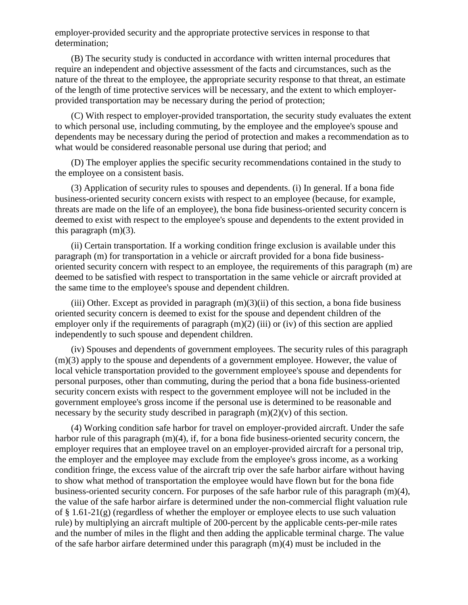employer-provided security and the appropriate protective services in response to that determination;

(B) The security study is conducted in accordance with written internal procedures that require an independent and objective assessment of the facts and circumstances, such as the nature of the threat to the employee, the appropriate security response to that threat, an estimate of the length of time protective services will be necessary, and the extent to which employerprovided transportation may be necessary during the period of protection;

(C) With respect to employer-provided transportation, the security study evaluates the extent to which personal use, including commuting, by the employee and the employee's spouse and dependents may be necessary during the period of protection and makes a recommendation as to what would be considered reasonable personal use during that period; and

(D) The employer applies the specific security recommendations contained in the study to the employee on a consistent basis.

(3) Application of security rules to spouses and dependents. (i) In general. If a bona fide business-oriented security concern exists with respect to an employee (because, for example, threats are made on the life of an employee), the bona fide business-oriented security concern is deemed to exist with respect to the employee's spouse and dependents to the extent provided in this paragraph (m)(3).

(ii) Certain transportation. If a working condition fringe exclusion is available under this paragraph (m) for transportation in a vehicle or aircraft provided for a bona fide businessoriented security concern with respect to an employee, the requirements of this paragraph (m) are deemed to be satisfied with respect to transportation in the same vehicle or aircraft provided at the same time to the employee's spouse and dependent children.

(iii) Other. Except as provided in paragraph  $(m)(3)(ii)$  of this section, a bona fide business oriented security concern is deemed to exist for the spouse and dependent children of the employer only if the requirements of paragraph  $(m)(2)$  (iii) or (iv) of this section are applied independently to such spouse and dependent children.

(iv) Spouses and dependents of government employees. The security rules of this paragraph (m)(3) apply to the spouse and dependents of a government employee. However, the value of local vehicle transportation provided to the government employee's spouse and dependents for personal purposes, other than commuting, during the period that a bona fide business-oriented security concern exists with respect to the government employee will not be included in the government employee's gross income if the personal use is determined to be reasonable and necessary by the security study described in paragraph  $(m)(2)(v)$  of this section.

(4) Working condition safe harbor for travel on employer-provided aircraft. Under the safe harbor rule of this paragraph (m)(4), if, for a bona fide business-oriented security concern, the employer requires that an employee travel on an employer-provided aircraft for a personal trip, the employer and the employee may exclude from the employee's gross income, as a working condition fringe, the excess value of the aircraft trip over the safe harbor airfare without having to show what method of transportation the employee would have flown but for the bona fide business-oriented security concern. For purposes of the safe harbor rule of this paragraph (m)(4), the value of the safe harbor airfare is determined under the non-commercial flight valuation rule of  $\S 1.61-21(g)$  (regardless of whether the employer or employee elects to use such valuation rule) by multiplying an aircraft multiple of 200-percent by the applicable cents-per-mile rates and the number of miles in the flight and then adding the applicable terminal charge. The value of the safe harbor airfare determined under this paragraph (m)(4) must be included in the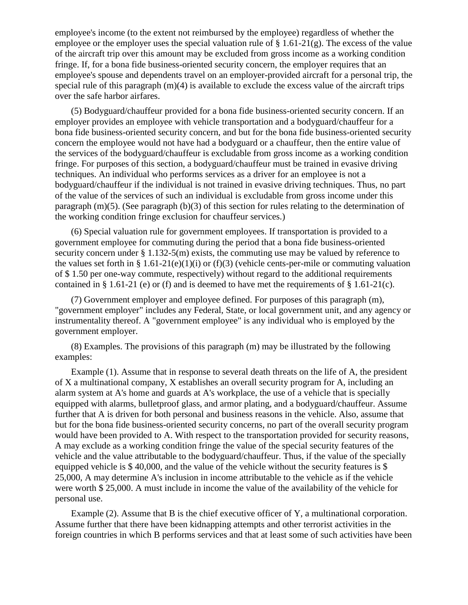employee's income (to the extent not reimbursed by the employee) regardless of whether the employee or the employer uses the special valuation rule of  $\S 1.61-21(g)$ . The excess of the value of the aircraft trip over this amount may be excluded from gross income as a working condition fringe. If, for a bona fide business-oriented security concern, the employer requires that an employee's spouse and dependents travel on an employer-provided aircraft for a personal trip, the special rule of this paragraph (m)(4) is available to exclude the excess value of the aircraft trips over the safe harbor airfares.

(5) Bodyguard/chauffeur provided for a bona fide business-oriented security concern. If an employer provides an employee with vehicle transportation and a bodyguard/chauffeur for a bona fide business-oriented security concern, and but for the bona fide business-oriented security concern the employee would not have had a bodyguard or a chauffeur, then the entire value of the services of the bodyguard/chauffeur is excludable from gross income as a working condition fringe. For purposes of this section, a bodyguard/chauffeur must be trained in evasive driving techniques. An individual who performs services as a driver for an employee is not a bodyguard/chauffeur if the individual is not trained in evasive driving techniques. Thus, no part of the value of the services of such an individual is excludable from gross income under this paragraph (m)(5). (See paragraph (b)(3) of this section for rules relating to the determination of the working condition fringe exclusion for chauffeur services.)

(6) Special valuation rule for government employees. If transportation is provided to a government employee for commuting during the period that a bona fide business-oriented security concern under  $\S 1.132-5(m)$  exists, the commuting use may be valued by reference to the values set forth in § 1.61-21(e)(1)(i) or (f)(3) (vehicle cents-per-mile or commuting valuation of \$ 1.50 per one-way commute, respectively) without regard to the additional requirements contained in § 1.61-21 (e) or (f) and is deemed to have met the requirements of § 1.61-21(c).

(7) Government employer and employee defined. For purposes of this paragraph (m), "government employer" includes any Federal, State, or local government unit, and any agency or instrumentality thereof. A "government employee" is any individual who is employed by the government employer.

(8) Examples. The provisions of this paragraph (m) may be illustrated by the following examples:

Example (1). Assume that in response to several death threats on the life of A, the president of X a multinational company, X establishes an overall security program for A, including an alarm system at A's home and guards at A's workplace, the use of a vehicle that is specially equipped with alarms, bulletproof glass, and armor plating, and a bodyguard/chauffeur. Assume further that A is driven for both personal and business reasons in the vehicle. Also, assume that but for the bona fide business-oriented security concerns, no part of the overall security program would have been provided to A. With respect to the transportation provided for security reasons, A may exclude as a working condition fringe the value of the special security features of the vehicle and the value attributable to the bodyguard/chauffeur. Thus, if the value of the specially equipped vehicle is \$ 40,000, and the value of the vehicle without the security features is \$ 25,000, A may determine A's inclusion in income attributable to the vehicle as if the vehicle were worth \$ 25,000. A must include in income the value of the availability of the vehicle for personal use.

Example (2). Assume that B is the chief executive officer of Y, a multinational corporation. Assume further that there have been kidnapping attempts and other terrorist activities in the foreign countries in which B performs services and that at least some of such activities have been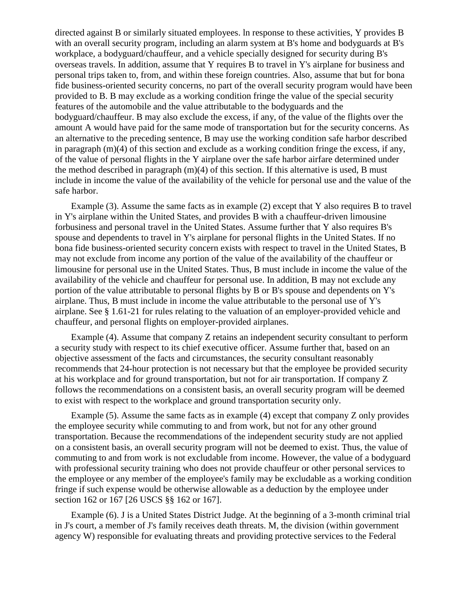directed against B or similarly situated employees. ln response to these activities, Y provides B with an overall security program, including an alarm system at B's home and bodyguards at B's workplace, a bodyguard/chauffeur, and a vehicle specially designed for security during B's overseas travels. In addition, assume that Y requires B to travel in Y's airplane for business and personal trips taken to, from, and within these foreign countries. Also, assume that but for bona fide business-oriented security concerns, no part of the overall security program would have been provided to B. B may exclude as a working condition fringe the value of the special security features of the automobile and the value attributable to the bodyguards and the bodyguard/chauffeur. B may also exclude the excess, if any, of the value of the flights over the amount A would have paid for the same mode of transportation but for the security concerns. As an alternative to the preceding sentence, B may use the working condition safe harbor described in paragraph  $(m)(4)$  of this section and exclude as a working condition fringe the excess, if any, of the value of personal flights in the Y airplane over the safe harbor airfare determined under the method described in paragraph (m)(4) of this section. If this alternative is used, B must include in income the value of the availability of the vehicle for personal use and the value of the safe harbor.

Example (3). Assume the same facts as in example (2) except that Y also requires B to travel in Y's airplane within the United States, and provides B with a chauffeur-driven limousine forbusiness and personal travel in the United States. Assume further that Y also requires B's spouse and dependents to travel in Y's airplane for personal flights in the United States. If no bona fide business-oriented security concern exists with respect to travel in the United States, B may not exclude from income any portion of the value of the availability of the chauffeur or limousine for personal use in the United States. Thus, B must include in income the value of the availability of the vehicle and chauffeur for personal use. In addition, B may not exclude any portion of the value attributable to personal flights by B or B's spouse and dependents on Y's airplane. Thus, B must include in income the value attributable to the personal use of Y's airplane. See § 1.61-21 for rules relating to the valuation of an employer-provided vehicle and chauffeur, and personal flights on employer-provided airplanes.

Example (4). Assume that company Z retains an independent security consultant to perform a security study with respect to its chief executive officer. Assume further that, based on an objective assessment of the facts and circumstances, the security consultant reasonably recommends that 24-hour protection is not necessary but that the employee be provided security at his workplace and for ground transportation, but not for air transportation. If company Z follows the recommendations on a consistent basis, an overall security program will be deemed to exist with respect to the workplace and ground transportation security only.

Example (5). Assume the same facts as in example (4) except that company Z only provides the employee security while commuting to and from work, but not for any other ground transportation. Because the recommendations of the independent security study are not applied on a consistent basis, an overall security program will not be deemed to exist. Thus, the value of commuting to and from work is not excludable from income. However, the value of a bodyguard with professional security training who does not provide chauffeur or other personal services to the employee or any member of the employee's family may be excludable as a working condition fringe if such expense would be otherwise allowable as a deduction by the employee under section 162 or 167 [26 USCS §§ 162 or 167].

Example (6). J is a United States District Judge. At the beginning of a 3-month criminal trial in J's court, a member of J's family receives death threats. M, the division (within government agency W) responsible for evaluating threats and providing protective services to the Federal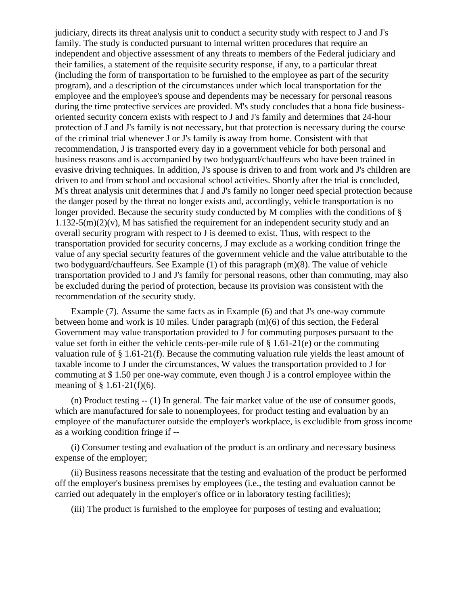judiciary, directs its threat analysis unit to conduct a security study with respect to J and J's family. The study is conducted pursuant to internal written procedures that require an independent and objective assessment of any threats to members of the Federal judiciary and their families, a statement of the requisite security response, if any, to a particular threat (including the form of transportation to be furnished to the employee as part of the security program), and a description of the circumstances under which local transportation for the employee and the employee's spouse and dependents may be necessary for personal reasons during the time protective services are provided. M's study concludes that a bona fide businessoriented security concern exists with respect to J and J's family and determines that 24-hour protection of J and J's family is not necessary, but that protection is necessary during the course of the criminal trial whenever J or J's family is away from home. Consistent with that recommendation, J is transported every day in a government vehicle for both personal and business reasons and is accompanied by two bodyguard/chauffeurs who have been trained in evasive driving techniques. In addition, J's spouse is driven to and from work and J's children are driven to and from school and occasional school activities. Shortly after the trial is concluded, M's threat analysis unit determines that J and J's family no longer need special protection because the danger posed by the threat no longer exists and, accordingly, vehicle transportation is no longer provided. Because the security study conducted by M complies with the conditions of §  $1.132-5(m)(2)(v)$ , M has satisfied the requirement for an independent security study and an overall security program with respect to J is deemed to exist. Thus, with respect to the transportation provided for security concerns, J may exclude as a working condition fringe the value of any special security features of the government vehicle and the value attributable to the two bodyguard/chauffeurs. See Example (1) of this paragraph (m)(8). The value of vehicle transportation provided to J and J's family for personal reasons, other than commuting, may also be excluded during the period of protection, because its provision was consistent with the recommendation of the security study.

Example (7). Assume the same facts as in Example (6) and that J's one-way commute between home and work is 10 miles. Under paragraph (m)(6) of this section, the Federal Government may value transportation provided to J for commuting purposes pursuant to the value set forth in either the vehicle cents-per-mile rule of  $\S 1.61-21(e)$  or the commuting valuation rule of § 1.61-21(f). Because the commuting valuation rule yields the least amount of taxable income to J under the circumstances, W values the transportation provided to J for commuting at \$ 1.50 per one-way commute, even though J is a control employee within the meaning of  $\S$  1.61-21(f)(6).

(n) Product testing -- (1) In general. The fair market value of the use of consumer goods, which are manufactured for sale to nonemployees, for product testing and evaluation by an employee of the manufacturer outside the employer's workplace, is excludible from gross income as a working condition fringe if --

(i) Consumer testing and evaluation of the product is an ordinary and necessary business expense of the employer;

(ii) Business reasons necessitate that the testing and evaluation of the product be performed off the employer's business premises by employees (i.e., the testing and evaluation cannot be carried out adequately in the employer's office or in laboratory testing facilities);

(iii) The product is furnished to the employee for purposes of testing and evaluation;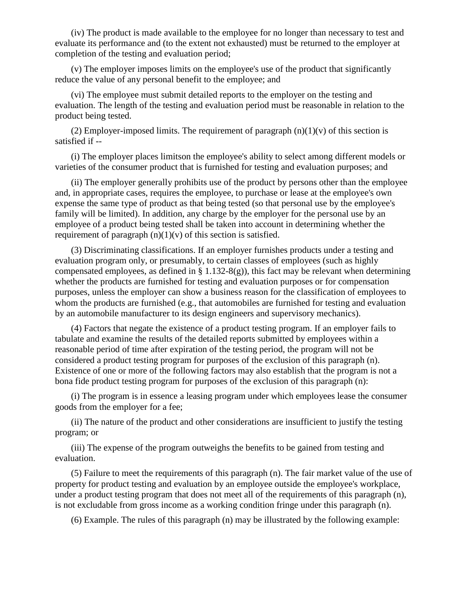(iv) The product is made available to the employee for no longer than necessary to test and evaluate its performance and (to the extent not exhausted) must be returned to the employer at completion of the testing and evaluation period;

(v) The employer imposes limits on the employee's use of the product that significantly reduce the value of any personal benefit to the employee; and

(vi) The employee must submit detailed reports to the employer on the testing and evaluation. The length of the testing and evaluation period must be reasonable in relation to the product being tested.

(2) Employer-imposed limits. The requirement of paragraph  $(n)(1)(v)$  of this section is satisfied if --

(i) The employer places limitson the employee's ability to select among different models or varieties of the consumer product that is furnished for testing and evaluation purposes; and

(ii) The employer generally prohibits use of the product by persons other than the employee and, in appropriate cases, requires the employee, to purchase or lease at the employee's own expense the same type of product as that being tested (so that personal use by the employee's family will be limited). In addition, any charge by the employer for the personal use by an employee of a product being tested shall be taken into account in determining whether the requirement of paragraph  $(n)(1)(v)$  of this section is satisfied.

(3) Discriminating classifications. If an employer furnishes products under a testing and evaluation program only, or presumably, to certain classes of employees (such as highly compensated employees, as defined in § 1.132-8(g)), this fact may be relevant when determining whether the products are furnished for testing and evaluation purposes or for compensation purposes, unless the employer can show a business reason for the classification of employees to whom the products are furnished (e.g., that automobiles are furnished for testing and evaluation by an automobile manufacturer to its design engineers and supervisory mechanics).

(4) Factors that negate the existence of a product testing program. If an employer fails to tabulate and examine the results of the detailed reports submitted by employees within a reasonable period of time after expiration of the testing period, the program will not be considered a product testing program for purposes of the exclusion of this paragraph (n). Existence of one or more of the following factors may also establish that the program is not a bona fide product testing program for purposes of the exclusion of this paragraph (n):

(i) The program is in essence a leasing program under which employees lease the consumer goods from the employer for a fee;

(ii) The nature of the product and other considerations are insufficient to justify the testing program; or

(iii) The expense of the program outweighs the benefits to be gained from testing and evaluation.

(5) Failure to meet the requirements of this paragraph (n). The fair market value of the use of property for product testing and evaluation by an employee outside the employee's workplace, under a product testing program that does not meet all of the requirements of this paragraph (n), is not excludable from gross income as a working condition fringe under this paragraph (n).

(6) Example. The rules of this paragraph (n) may be illustrated by the following example: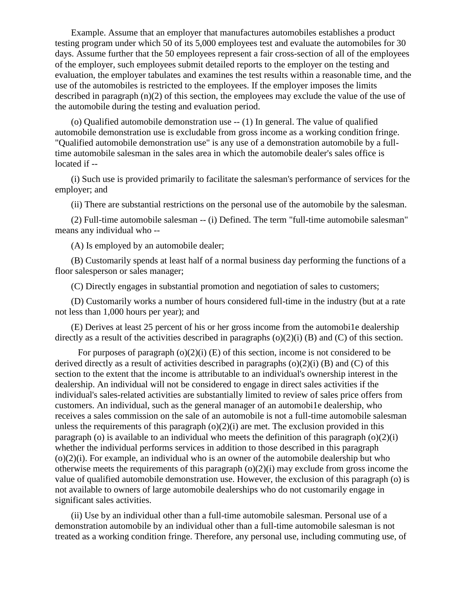Example. Assume that an employer that manufactures automobiles establishes a product testing program under which 50 of its 5,000 employees test and evaluate the automobiles for 30 days. Assume further that the 50 employees represent a fair cross-section of all of the employees of the employer, such employees submit detailed reports to the employer on the testing and evaluation, the employer tabulates and examines the test results within a reasonable time, and the use of the automobiles is restricted to the employees. If the employer imposes the limits described in paragraph (n)(2) of this section, the employees may exclude the value of the use of the automobile during the testing and evaluation period.

(o) Qualified automobile demonstration use -- (1) In general. The value of qualified automobile demonstration use is excludable from gross income as a working condition fringe. "Qualified automobile demonstration use" is any use of a demonstration automobile by a fulltime automobile salesman in the sales area in which the automobile dealer's sales office is located if --

(i) Such use is provided primarily to facilitate the salesman's performance of services for the employer; and

(ii) There are substantial restrictions on the personal use of the automobile by the salesman.

(2) Full-time automobile salesman -- (i) Defined. The term "full-time automobile salesman" means any individual who --

(A) Is employed by an automobile dealer;

(B) Customarily spends at least half of a normal business day performing the functions of a floor salesperson or sales manager;

(C) Directly engages in substantial promotion and negotiation of sales to customers;

(D) Customarily works a number of hours considered full-time in the industry (but at a rate not less than 1,000 hours per year); and

(E) Derives at least 25 percent of his or her gross income from the automobi1e dealership directly as a result of the activities described in paragraphs  $(o)(2)(i)$  (B) and (C) of this section.

For purposes of paragraph  $(o)(2)(i)$  (E) of this section, income is not considered to be derived directly as a result of activities described in paragraphs  $(o)(2)(i)$  (B) and (C) of this section to the extent that the income is attributable to an individual's ownership interest in the dealership. An individual will not be considered to engage in direct sales activities if the individual's sales-related activities are substantially limited to review of sales price offers from customers. An individual, such as the general manager of an automobi1e dealership, who receives a sales commission on the sale of an automobile is not a full-time automobile salesman unless the requirements of this paragraph  $(o)(2)(i)$  are met. The exclusion provided in this paragraph (o) is available to an individual who meets the definition of this paragraph  $(o)(2)(i)$ whether the individual performs services in addition to those described in this paragraph  $(o)(2)(i)$ . For example, an individual who is an owner of the automobile dealership but who otherwise meets the requirements of this paragraph  $(o)(2)(i)$  may exclude from gross income the value of qualified automobile demonstration use. However, the exclusion of this paragraph (o) is not available to owners of large automobile dealerships who do not customarily engage in significant sales activities.

(ii) Use by an individual other than a full-time automobile salesman. Personal use of a demonstration automobile by an individual other than a full-time automobile salesman is not treated as a working condition fringe. Therefore, any personal use, including commuting use, of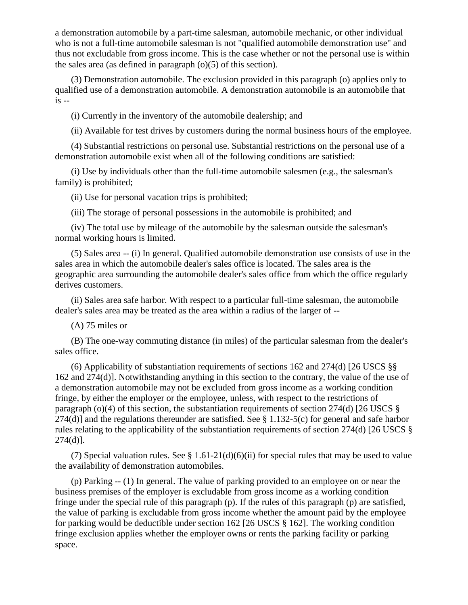a demonstration automobile by a part-time salesman, automobile mechanic, or other individual who is not a full-time automobile salesman is not "qualified automobile demonstration use" and thus not excludable from gross income. This is the case whether or not the personal use is within the sales area (as defined in paragraph (o)(5) of this section).

(3) Demonstration automobile. The exclusion provided in this paragraph (o) applies only to qualified use of a demonstration automobile. A demonstration automobile is an automobile that  $is -$ 

(i) Currently in the inventory of the automobile dealership; and

(ii) Available for test drives by customers during the normal business hours of the employee.

(4) Substantial restrictions on personal use. Substantial restrictions on the personal use of a demonstration automobile exist when all of the following conditions are satisfied:

(i) Use by individuals other than the full-time automobile salesmen (e.g., the salesman's family) is prohibited;

(ii) Use for personal vacation trips is prohibited;

(iii) The storage of personal possessions in the automobile is prohibited; and

(iv) The total use by mileage of the automobile by the salesman outside the salesman's normal working hours is limited.

(5) Sales area -- (i) In general. Qualified automobile demonstration use consists of use in the sales area in which the automobile dealer's sales office is located. The sales area is the geographic area surrounding the automobile dealer's sales office from which the office regularly derives customers.

(ii) Sales area safe harbor. With respect to a particular full-time salesman, the automobile dealer's sales area may be treated as the area within a radius of the larger of --

(A) 75 miles or

(B) The one-way commuting distance (in miles) of the particular salesman from the dealer's sales office.

(6) Applicability of substantiation requirements of sections 162 and 274(d) [26 USCS §§ 162 and 274(d)]. Notwithstanding anything in this section to the contrary, the value of the use of a demonstration automobile may not be excluded from gross income as a working condition fringe, by either the employer or the employee, unless, with respect to the restrictions of paragraph (o)(4) of this section, the substantiation requirements of section 274(d) [26 USCS  $\S$ 274(d)] and the regulations thereunder are satisfied. See § 1.132-5(c) for general and safe harbor rules relating to the applicability of the substantiation requirements of section 274(d) [26 USCS §  $274(d)$ ].

(7) Special valuation rules. See § 1.61-21(d)(6)(ii) for special rules that may be used to value the availability of demonstration automobiles.

(p) Parking -- (1) In general. The value of parking provided to an employee on or near the business premises of the employer is excludable from gross income as a working condition fringe under the special rule of this paragraph (p). If the rules of this paragraph (p) are satisfied, the value of parking is excludable from gross income whether the amount paid by the employee for parking would be deductible under section 162 [26 USCS § 162]. The working condition fringe exclusion applies whether the employer owns or rents the parking facility or parking space.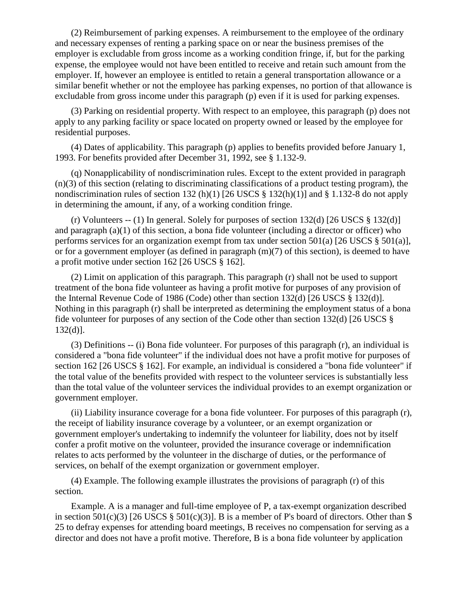(2) Reimbursement of parking expenses. A reimbursement to the employee of the ordinary and necessary expenses of renting a parking space on or near the business premises of the employer is excludable from gross income as a working condition fringe, if, but for the parking expense, the employee would not have been entitled to receive and retain such amount from the employer. If, however an employee is entitled to retain a general transportation allowance or a similar benefit whether or not the employee has parking expenses, no portion of that allowance is excludable from gross income under this paragraph (p) even if it is used for parking expenses.

(3) Parking on residential property. With respect to an employee, this paragraph (p) does not apply to any parking facility or space located on property owned or leased by the employee for residential purposes.

(4) Dates of applicability. This paragraph (p) applies to benefits provided before January 1, 1993. For benefits provided after December 31, 1992, see § 1.132-9.

(q) Nonapplicability of nondiscrimination rules. Except to the extent provided in paragraph  $(n)(3)$  of this section (relating to discriminating classifications of a product testing program), the nondiscrimination rules of section 132 (h)(1) [26 USCS  $\S$  132(h)(1)] and  $\S$  1.132-8 do not apply in determining the amount, if any, of a working condition fringe.

(r) Volunteers -- (1) In general. Solely for purposes of section  $132(d)$  [26 USCS § 132(d)] and paragraph (a)(1) of this section, a bona fide volunteer (including a director or officer) who performs services for an organization exempt from tax under section 501(a) [26 USCS § 501(a)], or for a government employer (as defined in paragraph (m)(7) of this section), is deemed to have a profit motive under section 162 [26 USCS § 162].

(2) Limit on application of this paragraph. This paragraph (r) shall not be used to support treatment of the bona fide volunteer as having a profit motive for purposes of any provision of the Internal Revenue Code of 1986 (Code) other than section 132(d) [26 USCS § 132(d)]. Nothing in this paragraph (r) shall be interpreted as determining the employment status of a bona fide volunteer for purposes of any section of the Code other than section 132(d) [26 USCS § 132(d)].

(3) Definitions -- (i) Bona fide volunteer. For purposes of this paragraph (r), an individual is considered a "bona fide volunteer" if the individual does not have a profit motive for purposes of section 162 [26 USCS § 162]. For example, an individual is considered a "bona fide volunteer" if the total value of the benefits provided with respect to the volunteer services is substantially less than the total value of the volunteer services the individual provides to an exempt organization or government employer.

(ii) Liability insurance coverage for a bona fide volunteer. For purposes of this paragraph (r), the receipt of liability insurance coverage by a volunteer, or an exempt organization or government employer's undertaking to indemnify the volunteer for liability, does not by itself confer a profit motive on the volunteer, provided the insurance coverage or indemnification relates to acts performed by the volunteer in the discharge of duties, or the performance of services, on behalf of the exempt organization or government employer.

(4) Example. The following example illustrates the provisions of paragraph (r) of this section.

Example. A is a manager and full-time employee of P, a tax-exempt organization described in section 501(c)(3) [26 USCS  $\S$  501(c)(3)]. B is a member of P's board of directors. Other than  $\S$ 25 to defray expenses for attending board meetings, B receives no compensation for serving as a director and does not have a profit motive. Therefore, B is a bona fide volunteer by application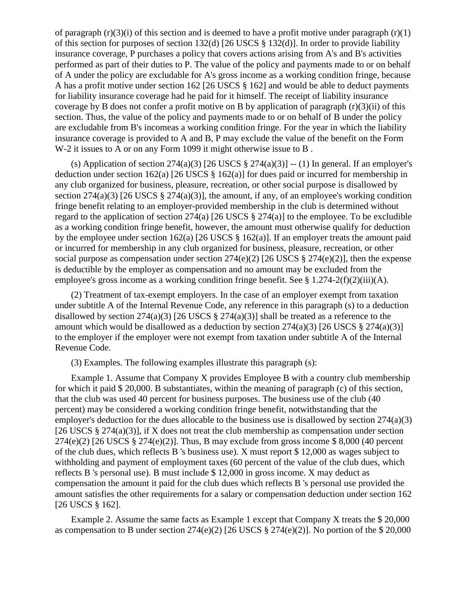of paragraph  $(r)(3)(i)$  of this section and is deemed to have a profit motive under paragraph  $(r)(1)$ of this section for purposes of section 132(d) [26 USCS § 132(d)]. In order to provide liability insurance coverage, P purchases a policy that covers actions arising from A's and B's activities performed as part of their duties to P. The value of the policy and payments made to or on behalf of A under the policy are excludable for A's gross income as a working condition fringe, because A has a profit motive under section 162 [26 USCS § 162] and would be able to deduct payments for liability insurance coverage had he paid for it himself. The receipt of liability insurance coverage by B does not confer a profit motive on B by application of paragraph  $(r)(3)(ii)$  of this section. Thus, the value of the policy and payments made to or on behalf of B under the policy are excludable from B's incomeas a working condition fringe. For the year in which the liability insurance coverage is provided to A and B, P may exclude the value of the benefit on the Form W-2 it issues to A or on any Form 1099 it might otherwise issue to B .

(s) Application of section  $274(a)(3)$  [26 USCS  $\S 274(a)(3)$ ] -- (1) In general. If an employer's deduction under section 162(a) [26 USCS § 162(a)] for dues paid or incurred for membership in any club organized for business, pleasure, recreation, or other social purpose is disallowed by section  $274(a)(3)$  [26 USCS §  $274(a)(3)$ ], the amount, if any, of an employee's working condition fringe benefit relating to an employer-provided membership in the club is determined without regard to the application of section 274(a) [26 USCS § 274(a)] to the employee. To be excludible as a working condition fringe benefit, however, the amount must otherwise qualify for deduction by the employee under section 162(a) [26 USCS  $\S$  162(a)]. If an employer treats the amount paid or incurred for membership in any club organized for business, pleasure, recreation, or other social purpose as compensation under section  $274(e)(2)$  [26 USCS § 274(e)(2)], then the expense is deductible by the employer as compensation and no amount may be excluded from the employee's gross income as a working condition fringe benefit. See  $\S 1.274-2(f)(2)(iii)(A)$ .

(2) Treatment of tax-exempt employers. In the case of an employer exempt from taxation under subtitle A of the Internal Revenue Code, any reference in this paragraph (s) to a deduction disallowed by section  $274(a)(3)$  [26 USCS §  $274(a)(3)$ ] shall be treated as a reference to the amount which would be disallowed as a deduction by section  $274(a)(3)$  [26 USCS § 274(a)(3)] to the employer if the employer were not exempt from taxation under subtitle A of the Internal Revenue Code.

(3) Examples. The following examples illustrate this paragraph (s):

Example 1. Assume that Company X provides Employee B with a country club membership for which it paid \$ 20,000. B substantiates, within the meaning of paragraph (c) of this section, that the club was used 40 percent for business purposes. The business use of the club (40 percent) may be considered a working condition fringe benefit, notwithstanding that the employer's deduction for the dues allocable to the business use is disallowed by section 274(a)(3) [26 USCS  $\S 274(a)(3)$ ], if X does not treat the club membership as compensation under section  $274(e)(2)$  [26 USCS § 274(e)(2)]. Thus, B may exclude from gross income \$ 8,000 (40 percent of the club dues, which reflects B 's business use). X must report \$ 12,000 as wages subject to withholding and payment of employment taxes (60 percent of the value of the club dues, which reflects B 's personal use). B must include \$ 12,000 in gross income. X may deduct as compensation the amount it paid for the club dues which reflects B 's personal use provided the amount satisfies the other requirements for a salary or compensation deduction under section 162 [26 USCS § 162].

Example 2. Assume the same facts as Example 1 except that Company X treats the \$ 20,000 as compensation to B under section  $274(e)(2)$  [26 USCS § 274(e)(2)]. No portion of the \$ 20,000